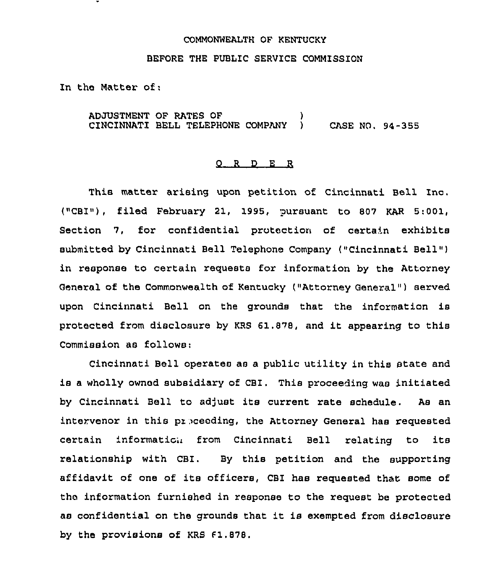## COMMONWEALTH OF KENTUCKY

BEFORE THE PUBLIC SERVICE COMMISSION

In the Matter of:

ADJUSTMENT OF RATES OF ) CINCINNATI BELL TELEPHONE COMPANY ) CASE NO. 94-355

## 0 <sup>R</sup> <sup>D</sup> E R

This matter arising upon petition of Cincinnati Bell Inc. ("CBI«), filed February 21, 1995, pursuant to 807 KAR 5:001, Section 7, for confidential protection of certain exhibits submitted by Cincinnati Bell Telephone Company ("Cincinnati Bell" ) in response to certain requests for information by the Attorney General of the commonwealth of Kentucky ("Attorney General" ) served upon Cincinnati Bell on the grounds that the information is protected from disclosure by KRS 61.878, and it appearing to this Commission as follows:

Cincinnati Bell operates as a public utility in this state and is <sup>a</sup> wholly owned subsidiary of CBI. This proceeding was initiated by Cincinnati Bell to adjust its current rate schedule. As an intervenor in this preceeding, the Attorney General has requested certain information from Cincinnati Bell relating to its relationship with CBI. By this petition and the supporting affidavit of one of its officers, CBI has requested that some of the information furnished in response to the request be protected as confidential on the grounds that it is exempted from disclosure by the provisions of KRS  $f1.878$ .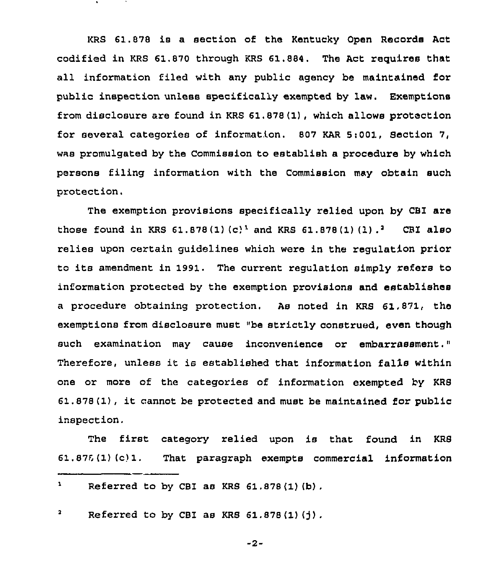KRS 61.878 is a section of the Kentucky Open Records Act codified in KRS 61.870 through KRS 61.884. The Act requires that all information filed with any public agency be maintained for public inspection unless specifically exempted by law. Exemptions from disclosure are found in KRS 61.878(1), which allows protection for several categories of information. 807 KAR 5:001, Section 7, was promulgated by the Commission to establish a procedure by which persons filing information with the Commission may obtain such protection,

The exemption provisions specifically relied upon by CBI are those found in KRS 61.878(1)(c)<sup>1</sup> and KRS 61.878(1)(1) .<sup>2</sup> CBI also relies upon certain guidelines which were in the regulation prior to its amendment in 1991. The current regulation simply refers to information protected by the exemption provisions and establishes a procedure obtaining protection. As noted in KRS 61,871, the exemptions from disclosure must "be strictly construed, even though such examination may cause inconvenience or embarrassment." Therefore, unless it is established that information falls within one or more of the categories of information exempted by KRS 61.878(1), it cannot be protected and must be maintained for public inspection.

The first category relied upon is that found in KRS  $61.876 (1) (c) 1.$  That paragraph exempts commercial information

## $\mathbf{r}$ Referred to by CBI as KRS 61.878(1)(b).

 $\overline{\mathbf{a}}$ Referred to by CBI as KRS  $61.878(1)(j)$ .

-2-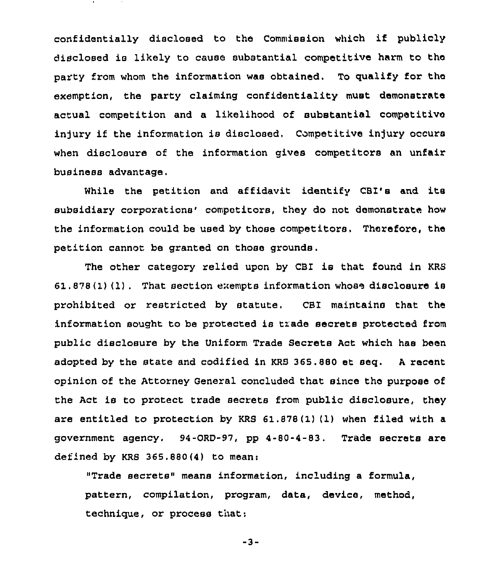confidentially disclosed to the Commission which if publicly disclosed is likely to cause substantial competitive harm to the party from whom the information was obtained. To qualify for the exemption, the party claiming confidentiality must demonstrate actual competition and a likelihood of substantial competitive injury if the information is disclosed. Competitive injury occurs when disclosure of the information gives competitors an unfair business advantage.

While the petition and affidavit identify CBI's and its subsidiary corporations' competitors, they do not demonstrate how the information could be used by those competitors. Therefore, the petition cannot. be granted on those grounds.

The other category relied upon by CBI is that found in KRS 6l . 878 (I) (1) . That section enempts information whose disclosure is prohibited or restricted by statute, CBI maintains that the information sought to be protected is trade secrets protected from public disclosure by the Uniform Trade Secrets Act which has been adopted by the state and codified in KRS 365.880 et seq. <sup>A</sup> recent opinion of the Attorney General concluded that since the purpose of the Act is to protect trade secrets from public disclosure, they are entitled to protection by KRS 61.878(1)(1) when filed with a government agency. 94-0RD-97, pp 4-80-4-83. Trade secrete are defined by KRS 365.880(4) to mean:

"Trade secrets" means information, including a formula, pattern, compilation, program, data, device, method, technique, or process that:

-3-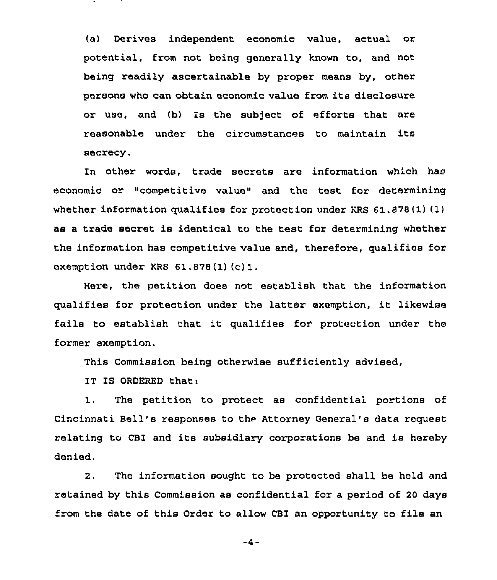(a) Derives independent economic value, actual or potential, from not being generally known to, and not being readily ascertainable by proper means by, other persons who can obtain economic value from its disclosure or use, and (b) is the subject of efforts that are reasonable under the circumstances to maintain its secrecy.

In other words, trade secrete are information which has economic or "competitive value" and the test for determining whether information qualifies for protection under KRS  $61,878(1)(1)$ as a txade secret is identical to the test for determining whether the infoxmation has competitive value and, therefore, qualifies fox exemption under KRS 61.<sup>878</sup> (1) (c) 1.

Here, the petition does not establish that the information qualifies for protection undex the latter exemption, it likewise fails to establish that it qualifies for pxotection under the foxmex exemption.

This Commission being otherwise sufficiently advised,

IT IS ORDERED that:

1. The petition to protect as confidential portions of Cincinnati Bell's responses to the Attorney General's data request relating to CBI and its subsidiary corporations be and is hereby denied.

2. The information sought to be protected shall be held and retained by this Commission as confidential for a period of 20 days from the date of this Order to allow CBI an opportunity to file an

 $-4-$